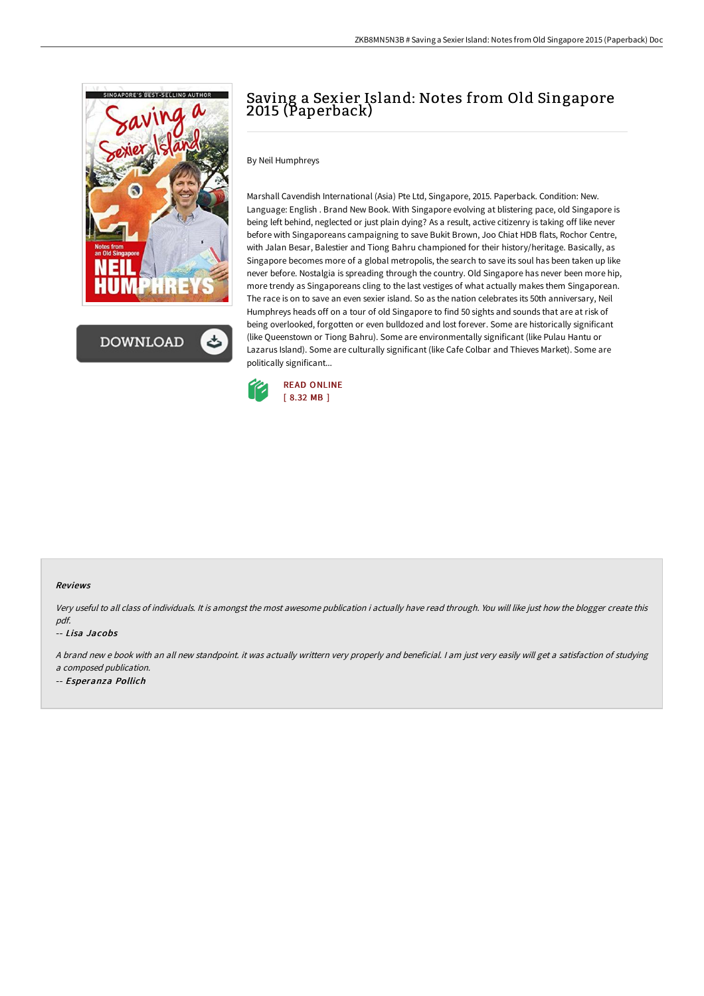

**DOWNLOAD** 

# Saving a Sexier Island: Notes from Old Singapore 2015 (Paperback)

By Neil Humphreys

Marshall Cavendish International (Asia) Pte Ltd, Singapore, 2015. Paperback. Condition: New. Language: English . Brand New Book. With Singapore evolving at blistering pace, old Singapore is being left behind, neglected or just plain dying? As a result, active citizenry is taking off like never before with Singaporeans campaigning to save Bukit Brown, Joo Chiat HDB flats, Rochor Centre, with Jalan Besar, Balestier and Tiong Bahru championed for their history/heritage. Basically, as Singapore becomes more of a global metropolis, the search to save its soul has been taken up like never before. Nostalgia is spreading through the country. Old Singapore has never been more hip, more trendy as Singaporeans cling to the last vestiges of what actually makes them Singaporean. The race is on to save an even sexier island. So as the nation celebrates its 50th anniversary, Neil Humphreys heads off on a tour of old Singapore to find 50 sights and sounds that are at risk of being overlooked, forgotten or even bulldozed and lost forever. Some are historically significant (like Queenstown or Tiong Bahru). Some are environmentally significant (like Pulau Hantu or Lazarus Island). Some are culturally significant (like Cafe Colbar and Thieves Market). Some are politically significant...



#### Reviews

Very useful to all class of individuals. It is amongst the most awesome publication i actually have read through. You will like just how the blogger create this pdf.

#### -- Lisa Jacobs

<sup>A</sup> brand new <sup>e</sup> book with an all new standpoint. it was actually writtern very properly and beneficial. <sup>I</sup> am just very easily will get <sup>a</sup> satisfaction of studying <sup>a</sup> composed publication.

-- Esperanza Pollich